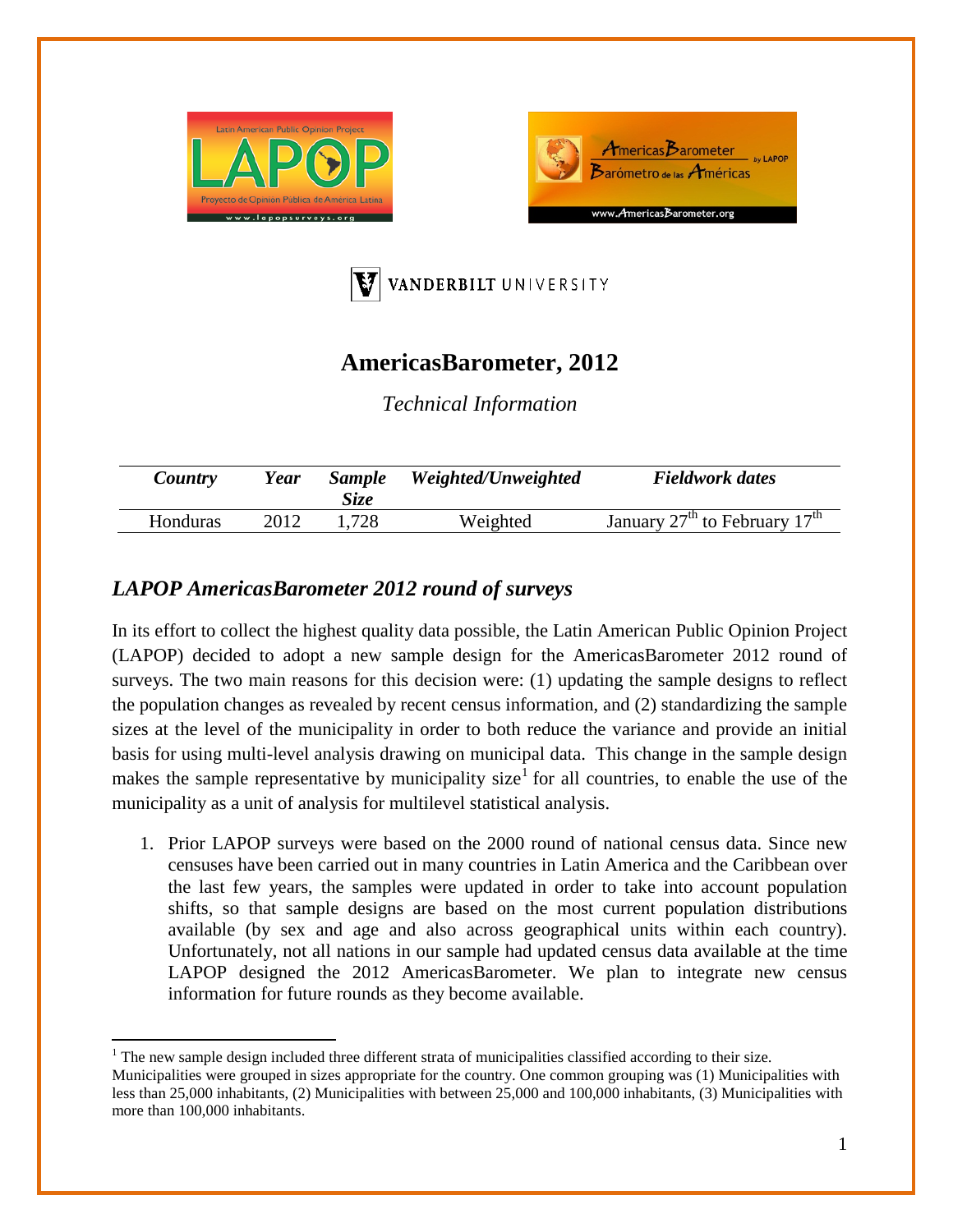





## **AmericasBarometer, 2012**

*Technical Information*

| Country  | Year | <b>Sample</b><br>Size | Weighted/Unweighted | <b>Fieldwork dates</b>                                |
|----------|------|-----------------------|---------------------|-------------------------------------------------------|
| Honduras | 2012 | .728                  | Weighted            | January $27^{\text{th}}$ to February $17^{\text{th}}$ |

## *LAPOP AmericasBarometer 2012 round of surveys*

In its effort to collect the highest quality data possible, the Latin American Public Opinion Project (LAPOP) decided to adopt a new sample design for the AmericasBarometer 2012 round of surveys. The two main reasons for this decision were: (1) updating the sample designs to reflect the population changes as revealed by recent census information, and (2) standardizing the sample sizes at the level of the municipality in order to both reduce the variance and provide an initial basis for using multi-level analysis drawing on municipal data. This change in the sample design makes the sample representative by municipality size<sup>[1](#page-0-0)</sup> for all countries, to enable the use of the municipality as a unit of analysis for multilevel statistical analysis.

1. Prior LAPOP surveys were based on the 2000 round of national census data. Since new censuses have been carried out in many countries in Latin America and the Caribbean over the last few years, the samples were updated in order to take into account population shifts, so that sample designs are based on the most current population distributions available (by sex and age and also across geographical units within each country). Unfortunately, not all nations in our sample had updated census data available at the time LAPOP designed the 2012 AmericasBarometer. We plan to integrate new census information for future rounds as they become available.

<span id="page-0-1"></span><span id="page-0-0"></span><sup>&</sup>lt;sup>1</sup> The new sample design included three different strata of municipalities classified according to their size. Municipalities were grouped in sizes appropriate for the country. One common grouping was (1) Municipalities with less than 25,000 inhabitants, (2) Municipalities with between 25,000 and 100,000 inhabitants, (3) Municipalities with more than 100,000 inhabitants.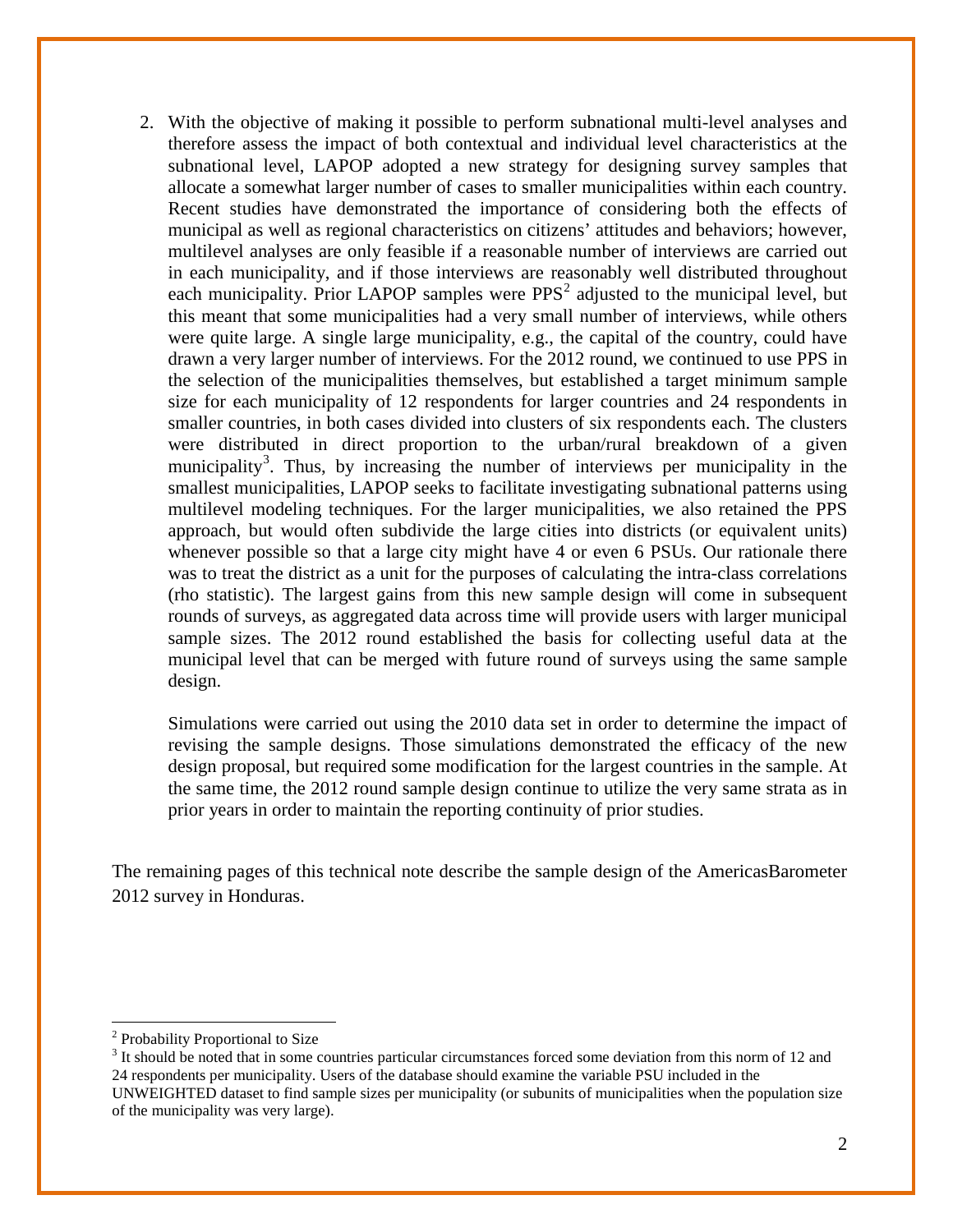2. With the objective of making it possible to perform subnational multi-level analyses and therefore assess the impact of both contextual and individual level characteristics at the subnational level, LAPOP adopted a new strategy for designing survey samples that allocate a somewhat larger number of cases to smaller municipalities within each country. Recent studies have demonstrated the importance of considering both the effects of municipal as well as regional characteristics on citizens' attitudes and behaviors; however, multilevel analyses are only feasible if a reasonable number of interviews are carried out in each municipality, and if those interviews are reasonably well distributed throughout each municipality. Prior LAPOP samples were  $PPS<sup>2</sup>$  $PPS<sup>2</sup>$  $PPS<sup>2</sup>$  adjusted to the municipal level, but this meant that some municipalities had a very small number of interviews, while others were quite large. A single large municipality, e.g., the capital of the country, could have drawn a very larger number of interviews. For the 2012 round, we continued to use PPS in the selection of the municipalities themselves, but established a target minimum sample size for each municipality of 12 respondents for larger countries and 24 respondents in smaller countries, in both cases divided into clusters of six respondents each. The clusters were distributed in direct proportion to the urban/rural breakdown of a given municipality<sup>[3](#page-1-0)</sup>. Thus, by increasing the number of interviews per municipality in the smallest municipalities, LAPOP seeks to facilitate investigating subnational patterns using multilevel modeling techniques. For the larger municipalities, we also retained the PPS approach, but would often subdivide the large cities into districts (or equivalent units) whenever possible so that a large city might have 4 or even 6 PSUs. Our rationale there was to treat the district as a unit for the purposes of calculating the intra-class correlations (rho statistic). The largest gains from this new sample design will come in subsequent rounds of surveys, as aggregated data across time will provide users with larger municipal sample sizes. The 2012 round established the basis for collecting useful data at the municipal level that can be merged with future round of surveys using the same sample design.

Simulations were carried out using the 2010 data set in order to determine the impact of revising the sample designs. Those simulations demonstrated the efficacy of the new design proposal, but required some modification for the largest countries in the sample. At the same time, the 2012 round sample design continue to utilize the very same strata as in prior years in order to maintain the reporting continuity of prior studies.

The remaining pages of this technical note describe the sample design of the AmericasBarometer 2012 survey in Honduras.

<sup>2</sup> Probability Proportional to Size

<span id="page-1-0"></span><sup>&</sup>lt;sup>3</sup> It should be noted that in some countries particular circumstances forced some deviation from this norm of 12 and 24 respondents per municipality. Users of the database should examine the variable PSU included in the UNWEIGHTED dataset to find sample sizes per municipality (or subunits of municipalities when the population size of the municipality was very large).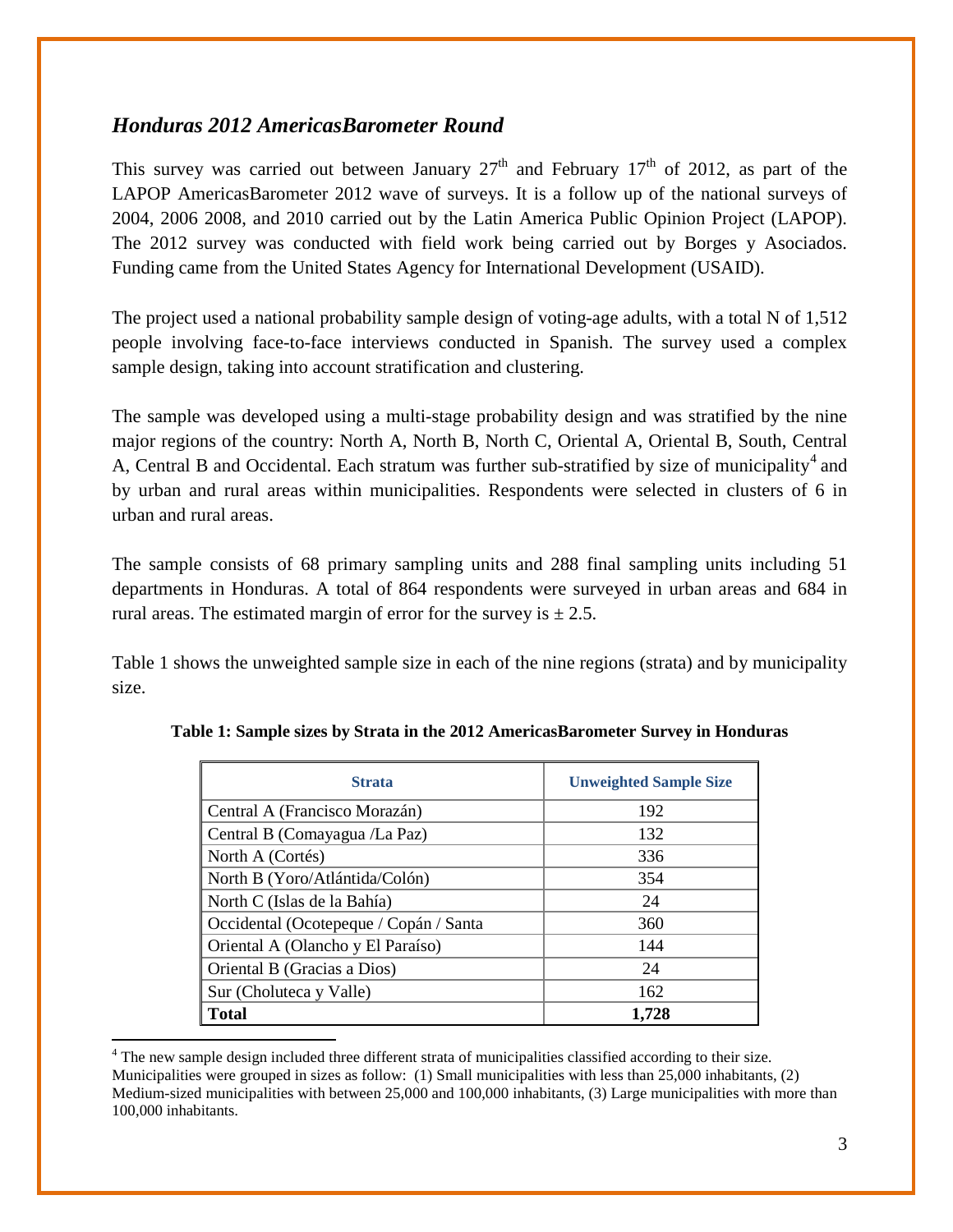## *Honduras 2012 AmericasBarometer Round*

This survey was carried out between January  $27<sup>th</sup>$  and February  $17<sup>th</sup>$  of 2012, as part of the LAPOP AmericasBarometer 2012 wave of surveys. It is a follow up of the national surveys of 2004, 2006 2008, and 2010 carried out by the Latin America Public Opinion Project (LAPOP). The 2012 survey was conducted with field work being carried out by Borges y Asociados. Funding came from the United States Agency for International Development (USAID).

The project used a national probability sample design of voting-age adults, with a total N of 1,512 people involving face-to-face interviews conducted in Spanish. The survey used a complex sample design, taking into account stratification and clustering.

The sample was developed using a multi-stage probability design and was stratified by the nine major regions of the country: North A, North B, North C, Oriental A, Oriental B, South, Central A, Central B and Occidental. Each stratum was further sub-stratified by size of municipality<sup>[4](#page-1-0)</sup> and by urban and rural areas within municipalities. Respondents were selected in clusters of 6 in urban and rural areas.

The sample consists of 68 primary sampling units and 288 final sampling units including 51 departments in Honduras. A total of 864 respondents were surveyed in urban areas and 684 in rural areas. The estimated margin of error for the survey is  $\pm 2.5$ .

Table 1 shows the unweighted sample size in each of the nine regions (strata) and by municipality size.

| <b>Strata</b>                          | <b>Unweighted Sample Size</b> |
|----------------------------------------|-------------------------------|
| Central A (Francisco Morazán)          | 192                           |
| Central B (Comayagua /La Paz)          | 132                           |
| North A (Cortés)                       | 336                           |
| North B (Yoro/Atlántida/Colón)         | 354                           |
| North C (Islas de la Bahía)            | 24                            |
| Occidental (Ocotepeque / Copán / Santa | 360                           |
| Oriental A (Olancho y El Paraíso)      | 144                           |
| Oriental B (Gracias a Dios)            | 24                            |
| Sur (Choluteca y Valle)                | 162                           |
| <b>Total</b>                           | 1,728                         |

**Table 1: Sample sizes by Strata in the 2012 AmericasBarometer Survey in Honduras**

<sup>4</sup> The new sample design included three different strata of municipalities classified according to their size. Municipalities were grouped in sizes as follow: (1) Small municipalities with less than 25,000 inhabitants, (2) Medium-sized municipalities with between 25,000 and 100,000 inhabitants, (3) Large municipalities with more than 100,000 inhabitants.